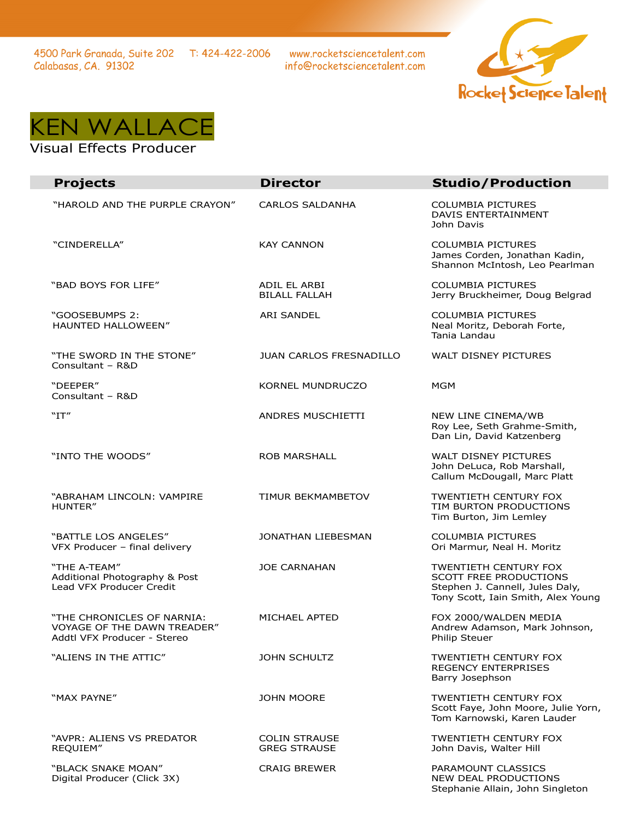www.rocketsciencetalent.com info@rocketsciencetalent.com





## Visual Effects Producer

| <b>Projects</b>                                                                          | <b>Director</b>                             | <b>Studio/Production</b>                                                                                                               |
|------------------------------------------------------------------------------------------|---------------------------------------------|----------------------------------------------------------------------------------------------------------------------------------------|
| "HAROLD AND THE PURPLE CRAYON"                                                           | <b>CARLOS SALDANHA</b>                      | <b>COLUMBIA PICTURES</b><br>DAVIS ENTERTAINMENT<br>John Davis                                                                          |
| "CINDERELLA"                                                                             | <b>KAY CANNON</b>                           | <b>COLUMBIA PICTURES</b><br>James Corden, Jonathan Kadin,<br>Shannon McIntosh, Leo Pearlman                                            |
| "BAD BOYS FOR LIFE"                                                                      | ADIL EL ARBI<br><b>BILALL FALLAH</b>        | <b>COLUMBIA PICTURES</b><br>Jerry Bruckheimer, Doug Belgrad                                                                            |
| "GOOSEBUMPS 2:<br>HAUNTED HALLOWEEN"                                                     | <b>ARI SANDEL</b>                           | <b>COLUMBIA PICTURES</b><br>Neal Moritz, Deborah Forte,<br>Tania Landau                                                                |
| "THE SWORD IN THE STONE"<br>Consultant - R&D                                             | <b>JUAN CARLOS FRESNADILLO</b>              | WALT DISNEY PICTURES                                                                                                                   |
| "DEEPER"<br>Consultant - R&D                                                             | KORNEL MUNDRUCZO                            | <b>MGM</b>                                                                                                                             |
| "IT"                                                                                     | ANDRES MUSCHIETTI                           | NEW LINE CINEMA/WB<br>Roy Lee, Seth Grahme-Smith,<br>Dan Lin, David Katzenberg                                                         |
| "INTO THE WOODS"                                                                         | <b>ROB MARSHALL</b>                         | <b>WALT DISNEY PICTURES</b><br>John DeLuca, Rob Marshall,<br>Callum McDougall, Marc Platt                                              |
| "ABRAHAM LINCOLN: VAMPIRE<br>HUNTER"                                                     | <b>TIMUR BEKMAMBETOV</b>                    | <b>TWENTIETH CENTURY FOX</b><br>TIM BURTON PRODUCTIONS<br>Tim Burton, Jim Lemley                                                       |
| "BATTLE LOS ANGELES"<br>VFX Producer - final delivery                                    | JONATHAN LIEBESMAN                          | <b>COLUMBIA PICTURES</b><br>Ori Marmur, Neal H. Moritz                                                                                 |
| "THE A-TEAM"<br>Additional Photography & Post<br>Lead VFX Producer Credit                | <b>JOE CARNAHAN</b>                         | <b>TWENTIETH CENTURY FOX</b><br><b>SCOTT FREE PRODUCTIONS</b><br>Stephen J. Cannell, Jules Daly,<br>Tony Scott, Iain Smith, Alex Young |
| "THE CHRONICLES OF NARNIA:<br>VOYAGE OF THE DAWN TREADER"<br>Addtl VFX Producer - Stereo | MICHAEL APTED                               | FOX 2000/WALDEN MEDIA<br>Andrew Adamson, Mark Johnson,<br>Philip Steuer                                                                |
| "ALIENS IN THE ATTIC"                                                                    | <b>JOHN SCHULTZ</b>                         | TWENTIETH CENTURY FOX<br><b>REGENCY ENTERPRISES</b><br>Barry Josephson                                                                 |
| "MAX PAYNE"                                                                              | <b>JOHN MOORE</b>                           | <b>TWENTIETH CENTURY FOX</b><br>Scott Faye, John Moore, Julie Yorn,<br>Tom Karnowski, Karen Lauder                                     |
| "AVPR: ALIENS VS PREDATOR<br>REQUIEM"                                                    | <b>COLIN STRAUSE</b><br><b>GREG STRAUSE</b> | <b>TWENTIETH CENTURY FOX</b><br>John Davis, Walter Hill                                                                                |
| "BLACK SNAKE MOAN"<br>Digital Producer (Click 3X)                                        | <b>CRAIG BREWER</b>                         | PARAMOUNT CLASSICS<br>NEW DEAL PRODUCTIONS<br>Stephanie Allain, John Singleton                                                         |